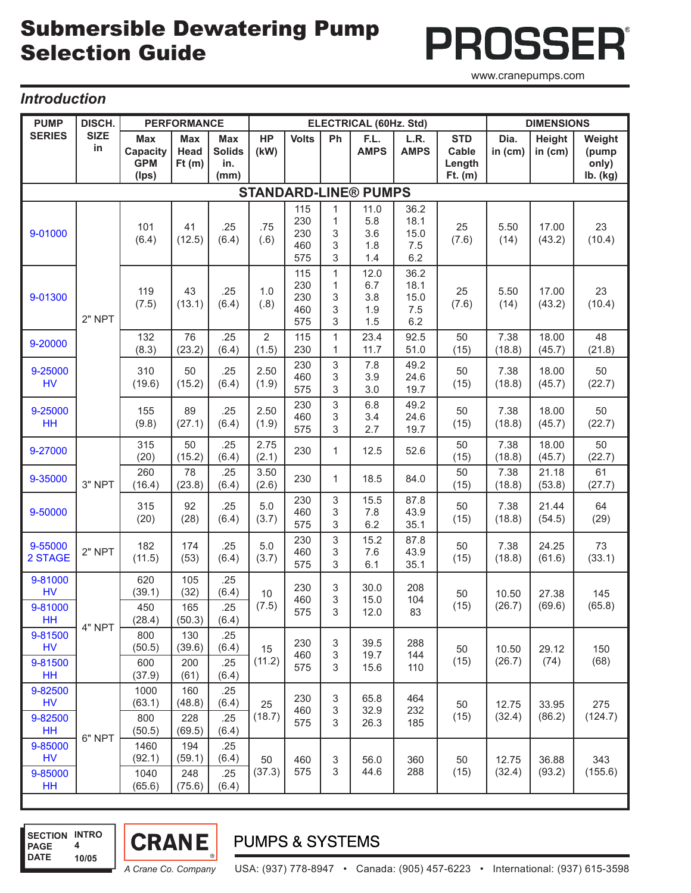# Submersible Dewatering Pump Selection Guide

**PROSSER®** www.cranepumps.com

### *Introduction*

| <b>PUMP</b>                           | DISCH.            | <b>PERFORMANCE</b>                            |                                |                                            |                         |                                 |                                                             | <b>ELECTRICAL (60Hz. Std)</b>    | <b>DIMENSIONS</b>                  |                                            |                 |                     |                                      |
|---------------------------------------|-------------------|-----------------------------------------------|--------------------------------|--------------------------------------------|-------------------------|---------------------------------|-------------------------------------------------------------|----------------------------------|------------------------------------|--------------------------------------------|-----------------|---------------------|--------------------------------------|
| <b>SERIES</b>                         | <b>SIZE</b><br>in | <b>Max</b><br>Capacity<br><b>GPM</b><br>(Ips) | <b>Max</b><br>Head<br>Ft(m)    | <b>Max</b><br><b>Solids</b><br>in.<br>(mm) | <b>HP</b><br>(kW)       | <b>Volts</b>                    | Ph                                                          | F.L.<br><b>AMPS</b>              | L.R.<br><b>AMPS</b>                | <b>STD</b><br>Cable<br>Length<br>$Ft.$ (m) | Dia.<br>in (cm) | Height<br>in $(cm)$ | Weight<br>(pump<br>only)<br>Ib. (kg) |
| <b>STANDARD-LINE® PUMPS</b>           |                   |                                               |                                |                                            |                         |                                 |                                                             |                                  |                                    |                                            |                 |                     |                                      |
| 9-01000                               | 2" NPT            | 101<br>(6.4)                                  | 41<br>(12.5)                   | .25<br>(6.4)                               | .75<br>(.6)             | 115<br>230<br>230<br>460<br>575 | $\mathbf{1}$<br>$\mathbf{1}$<br>3<br>3<br>3                 | 11.0<br>5.8<br>3.6<br>1.8<br>1.4 | 36.2<br>18.1<br>15.0<br>7.5<br>6.2 | 25<br>(7.6)                                | 5.50<br>(14)    | 17.00<br>(43.2)     | 23<br>(10.4)                         |
| 9-01300                               |                   | 119<br>(7.5)                                  | 43<br>(13.1)                   | .25<br>(6.4)                               | 1.0<br>(.8)             | 115<br>230<br>230<br>460<br>575 | $\mathbf{1}$<br>$\mathbf{1}$<br>3<br>3<br>3                 | 12.0<br>6.7<br>3.8<br>1.9<br>1.5 | 36.2<br>18.1<br>15.0<br>7.5<br>6.2 | 25<br>(7.6)                                | 5.50<br>(14)    | 17.00<br>(43.2)     | 23<br>(10.4)                         |
| 9-20000                               |                   | 132<br>(8.3)                                  | 76<br>(23.2)                   | .25<br>(6.4)                               | $\overline{2}$<br>(1.5) | 115<br>230                      | $\mathbf{1}$<br>$\mathbf{1}$                                | 23.4<br>11.7                     | 92.5<br>51.0                       | 50<br>(15)                                 | 7.38<br>(18.8)  | 18.00<br>(45.7)     | 48<br>(21.8)                         |
| 9-25000<br><b>HV</b>                  |                   | 310<br>(19.6)                                 | 50<br>(15.2)                   | .25<br>(6.4)                               | 2.50<br>(1.9)           | 230<br>460<br>575               | 3<br>3<br>3                                                 | 7.8<br>3.9<br>3.0                | 49.2<br>24.6<br>19.7               | 50<br>(15)                                 | 7.38<br>(18.8)  | 18.00<br>(45.7)     | 50<br>(22.7)                         |
| 9-25000<br>HH                         |                   | 155<br>(9.8)                                  | 89<br>(27.1)                   | .25<br>(6.4)                               | 2.50<br>(1.9)           | 230<br>460<br>575               | 3<br>3<br>3                                                 | 6.8<br>3.4<br>2.7                | 49.2<br>24.6<br>19.7               | 50<br>(15)                                 | 7.38<br>(18.8)  | 18.00<br>(45.7)     | 50<br>(22.7)                         |
| 9-27000                               | 3" NPT            | 315<br>(20)                                   | 50<br>(15.2)                   | .25<br>(6.4)                               | 2.75<br>(2.1)           | 230                             | $\mathbf{1}$                                                | 12.5                             | 52.6                               | 50<br>(15)                                 | 7.38<br>(18.8)  | 18.00<br>(45.7)     | 50<br>(22.7)                         |
| 9-35000                               |                   | 260<br>(16.4)                                 | 78<br>(23.8)                   | .25<br>(6.4)                               | 3.50<br>(2.6)           | 230                             | $\mathbf{1}$                                                | 18.5                             | 84.0                               | 50<br>(15)                                 | 7.38<br>(18.8)  | 21.18<br>(53.8)     | 61<br>(27.7)                         |
| 9-50000                               |                   | 315<br>(20)                                   | 92<br>(28)                     | .25<br>(6.4)                               | 5.0<br>(3.7)            | 230<br>460<br>575               | $\sqrt{3}$<br>3<br>3                                        | 15.5<br>7.8<br>6.2               | 87.8<br>43.9<br>35.1               | 50<br>(15)                                 | 7.38<br>(18.8)  | 21.44<br>(54.5)     | 64<br>(29)                           |
| 9-55000<br>2 STAGE                    | 2" NPT            | 182<br>(11.5)                                 | 174<br>(53)                    | .25<br>(6.4)                               | 5.0<br>(3.7)            | 230<br>460<br>575               | 3<br>3<br>3                                                 | 15.2<br>7.6<br>6.1               | 87.8<br>43.9<br>35.1               | 50<br>(15)                                 | 7.38<br>(18.8)  | 24.25<br>(61.6)     | 73<br>(33.1)                         |
| 9-81000<br><b>HV</b><br>9-81000<br>HH | 4" NPT            | 620<br>(39.1)<br>450<br>(28.4)                | 105<br>(32)<br>165<br>(50.3)   | .25<br>(6.4)<br>.25<br>(6.4)               | 10<br>(7.5)             | 230<br>460<br>575               | 3<br>3<br>3                                                 | 30.0<br>15.0<br>12.0             | 208<br>104<br>83                   | 50<br>(15)                                 | 10.50<br>(26.7) | 27.38<br>(69.6)     | 145<br>(65.8)                        |
| 9-81500<br><b>HV</b><br>9-81500<br>HH |                   | 800<br>(50.5)<br>600<br>(37.9)                | 130<br>(39.6)<br>200<br>(61)   | .25<br>(6.4)<br>.25<br>(6.4)               | 15<br>(11.2)            | 230<br>460<br>575               | $\ensuremath{\mathsf{3}}$<br>3<br>3                         | 39.5<br>19.7<br>15.6             | 288<br>144<br>110                  | 50<br>(15)                                 | 10.50<br>(26.7) | 29.12<br>(74)       | 150<br>(68)                          |
| 9-82500<br><b>HV</b><br>9-82500<br>HH |                   | 1000<br>(63.1)<br>800<br>(50.5)               | 160<br>(48.8)<br>228<br>(69.5) | .25<br>(6.4)<br>.25<br>(6.4)               | 25<br>(18.7)            | 230<br>460<br>575               | $\ensuremath{\mathsf{3}}$<br>$\ensuremath{\mathsf{3}}$<br>3 | 65.8<br>32.9<br>26.3             | 464<br>232<br>185                  | 50<br>(15)                                 | 12.75<br>(32.4) | 33.95<br>(86.2)     | 275<br>(124.7)                       |
| 9-85000<br><b>HV</b><br>9-85000<br>HH | 6" NPT            | 1460<br>(92.1)<br>1040<br>(65.6)              | 194<br>(59.1)<br>248<br>(75.6) | .25<br>(6.4)<br>.25<br>(6.4)               | 50<br>(37.3)            | 460<br>575                      | $\ensuremath{\mathsf{3}}$<br>$\sqrt{3}$                     | 56.0<br>44.6                     | 360<br>288                         | 50<br>(15)                                 | 12.75<br>(32.4) | 36.88<br>(93.2)     | 343<br>(155.6)                       |

## **PUMPS & SYSTEMS**

**CRANE** 

 **SECTION INTRO**

**4**

**10/05**

 **PAGE DATE** ı